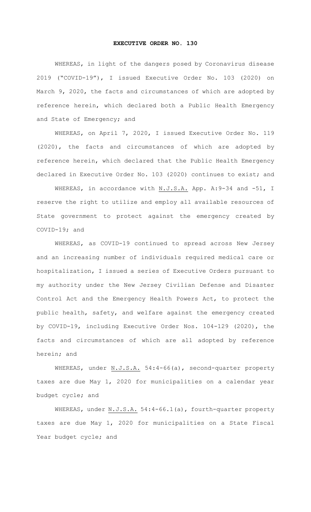## **EXECUTIVE ORDER NO. 130**

WHEREAS, in light of the dangers posed by Coronavirus disease 2019 ("COVID-19"), I issued Executive Order No. 103 (2020) on March 9, 2020, the facts and circumstances of which are adopted by reference herein, which declared both a Public Health Emergency and State of Emergency; and

WHEREAS, on April 7, 2020, I issued Executive Order No. 119 (2020), the facts and circumstances of which are adopted by reference herein, which declared that the Public Health Emergency declared in Executive Order No. 103 (2020) continues to exist; and

WHEREAS, in accordance with N.J.S.A. App. A: 9-34 and -51, I reserve the right to utilize and employ all available resources of State government to protect against the emergency created by COVID-19; and

WHEREAS, as COVID-19 continued to spread across New Jersey and an increasing number of individuals required medical care or hospitalization, I issued a series of Executive Orders pursuant to my authority under the New Jersey Civilian Defense and Disaster Control Act and the Emergency Health Powers Act, to protect the public health, safety, and welfare against the emergency created by COVID-19, including Executive Order Nos. 104-129 (2020), the facts and circumstances of which are all adopted by reference herein; and

WHEREAS, under N.J.S.A. 54:4-66(a), second-quarter property taxes are due May 1, 2020 for municipalities on a calendar year budget cycle; and

WHEREAS, under N.J.S.A. 54:4-66.1(a), fourth-quarter property taxes are due May 1, 2020 for municipalities on a State Fiscal Year budget cycle; and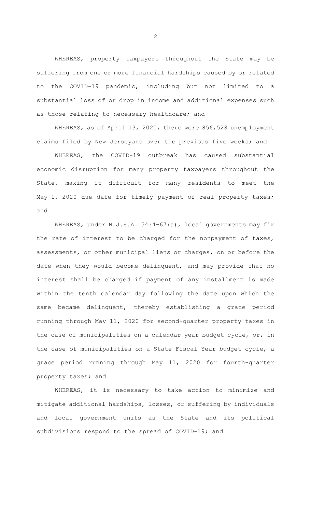WHEREAS, property taxpayers throughout the State may be suffering from one or more financial hardships caused by or related to the COVID-19 pandemic, including but not limited to a substantial loss of or drop in income and additional expenses such as those relating to necessary healthcare; and

WHEREAS, as of April 13, 2020, there were 856,528 unemployment claims filed by New Jerseyans over the previous five weeks; and

WHEREAS, the COVID-19 outbreak has caused substantial economic disruption for many property taxpayers throughout the State, making it difficult for many residents to meet the May 1, 2020 due date for timely payment of real property taxes; and

WHEREAS, under N.J.S.A. 54:4-67(a), local governments may fix the rate of interest to be charged for the nonpayment of taxes, assessments, or other municipal liens or charges, on or before the date when they would become delinquent, and may provide that no interest shall be charged if payment of any installment is made within the tenth calendar day following the date upon which the same became delinquent, thereby establishing a grace period running through May 11, 2020 for second-quarter property taxes in the case of municipalities on a calendar year budget cycle, or, in the case of municipalities on a State Fiscal Year budget cycle, a grace period running through May 11, 2020 for fourth-quarter property taxes; and

WHEREAS, it is necessary to take action to minimize and mitigate additional hardships, losses, or suffering by individuals and local government units as the State and its political subdivisions respond to the spread of COVID-19; and

2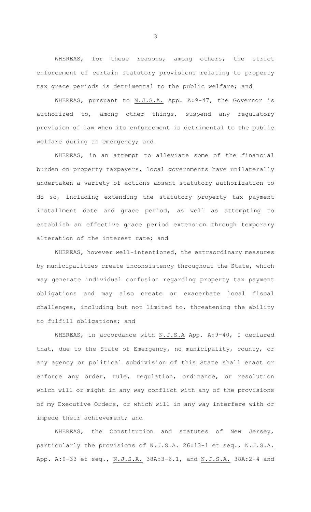WHEREAS, for these reasons, among others, the strict enforcement of certain statutory provisions relating to property tax grace periods is detrimental to the public welfare; and

WHEREAS, pursuant to N.J.S.A. App. A:9-47, the Governor is authorized to, among other things, suspend any regulatory provision of law when its enforcement is detrimental to the public welfare during an emergency; and

WHEREAS, in an attempt to alleviate some of the financial burden on property taxpayers, local governments have unilaterally undertaken a variety of actions absent statutory authorization to do so, including extending the statutory property tax payment installment date and grace period, as well as attempting to establish an effective grace period extension through temporary alteration of the interest rate; and

WHEREAS, however well-intentioned, the extraordinary measures by municipalities create inconsistency throughout the State, which may generate individual confusion regarding property tax payment obligations and may also create or exacerbate local fiscal challenges, including but not limited to, threatening the ability to fulfill obligations; and

WHEREAS, in accordance with N.J.S.A App. A:9-40, I declared that, due to the State of Emergency, no municipality, county, or any agency or political subdivision of this State shall enact or enforce any order, rule, regulation, ordinance, or resolution which will or might in any way conflict with any of the provisions of my Executive Orders, or which will in any way interfere with or impede their achievement; and

WHEREAS, the Constitution and statutes of New Jersey, particularly the provisions of N.J.S.A. 26:13-1 et seq., N.J.S.A. App. A:9-33 et seq., N.J.S.A. 38A:3-6.1, and N.J.S.A. 38A:2-4 and

3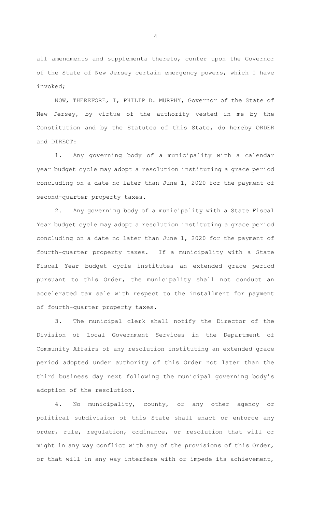all amendments and supplements thereto, confer upon the Governor of the State of New Jersey certain emergency powers, which I have invoked;

NOW, THEREFORE, I, PHILIP D. MURPHY, Governor of the State of New Jersey, by virtue of the authority vested in me by the Constitution and by the Statutes of this State, do hereby ORDER and DIRECT:

1. Any governing body of a municipality with a calendar year budget cycle may adopt a resolution instituting a grace period concluding on a date no later than June 1, 2020 for the payment of second-quarter property taxes.

2. Any governing body of a municipality with a State Fiscal Year budget cycle may adopt a resolution instituting a grace period concluding on a date no later than June 1, 2020 for the payment of fourth-quarter property taxes. If a municipality with a State Fiscal Year budget cycle institutes an extended grace period pursuant to this Order, the municipality shall not conduct an accelerated tax sale with respect to the installment for payment of fourth-quarter property taxes.

3. The municipal clerk shall notify the Director of the Division of Local Government Services in the Department of Community Affairs of any resolution instituting an extended grace period adopted under authority of this Order not later than the third business day next following the municipal governing body's adoption of the resolution.

4. No municipality, county, or any other agency or political subdivision of this State shall enact or enforce any order, rule, regulation, ordinance, or resolution that will or might in any way conflict with any of the provisions of this Order, or that will in any way interfere with or impede its achievement,

4